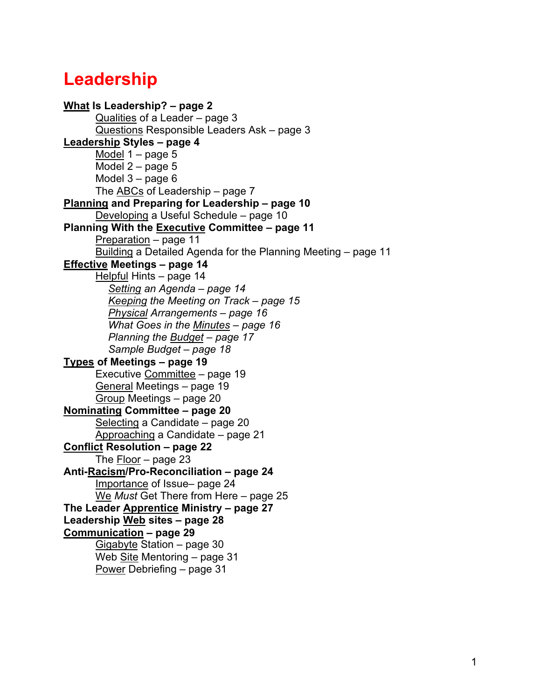# **Leadership**

```
What Is Leadership? – page 2
      Qualities of a Leader – page 3
      Questions Responsible Leaders Ask – page 3
Leadership Styles – page 4
      Model 1 – page 5
      Model 2 – page 5
      Model 3 – page 6
      The ABCs of Leadership – page 7
Planning and Preparing for Leadership – page 10
      Developing a Useful Schedule – page 10
Planning With the Executive Committee – page 11
      Preparation – page 11
      Building a Detailed Agenda for the Planning Meeting - page 11
Effective Meetings – page 14
      Helpful Hints – page 14
        Setting an Agenda – page 14
        Keeping the Meeting on Track – page 15
        Physical Arrangements – page 16
        What Goes in the Minutes – page 16
        Planning the Budget – page 17
        Sample Budget – page 18
Types of Meetings – page 19
      Executive Committee – page 19
      General Meetings – page 19
      Group Meetings – page 20
Nominating Committee – page 20
      Selecting a Candidate – page 20
      Approaching a Candidate – page 21
Conflict Resolution – page 22
      The Floor – page 23
Anti-Racism/Pro-Reconciliation – page 24
      Importance of Issue– page 24
      We Must Get There from Here – page 25
The Leader Apprentice Ministry – page 27
Leadership Web sites – page 28
Communication – page 29
      Gigabyte Station – page 30
      Web Site Mentoring – page 31
      Power Debriefing – page 31
```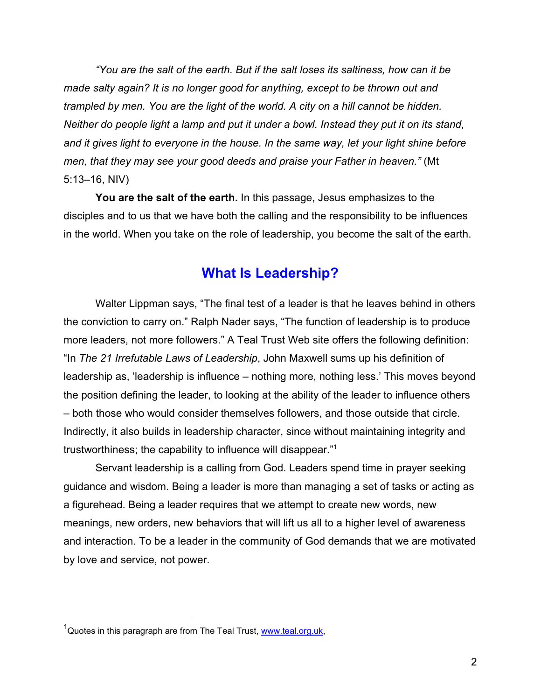<span id="page-1-0"></span>*"You are the salt of the earth. But if the salt loses its saltiness, how can it be made salty again? It is no longer good for anything, except to be thrown out and trampled by men. You are the light of the world. A city on a hill cannot be hidden. Neither do people light a lamp and put it under a bowl. Instead they put it on its stand, and it gives light to everyone in the house. In the same way, let your light shine before men, that they may see your good deeds and praise your Father in heaven."* (Mt 5:13–16, NIV)

**You are the salt of the earth.** In this passage, Jesus emphasizes to the disciples and to us that we have both the calling and the responsibility to be influences in the world. When you take on the role of leadership, you become the salt of the earth.

### **What Is Leadership?**

Walter Lippman says, "The final test of a leader is that he leaves behind in others the conviction to carry on." Ralph Nader says, "The function of leadership is to produce more leaders, not more followers." A Teal Trust Web site offers the following definition: "In *The 21 Irrefutable Laws of Leadership*, John Maxwell sums up his definition of leadership as, 'leadership is influence – nothing more, nothing less.' This moves beyond the position defining the leader, to looking at the ability of the leader to influence others – both those who would consider themselves followers, and those outside that circle. Indirectly, it also builds in leadership character, since without maintaining integrity and trustworthiness; the capability to influence will disappear."1

Servant leadership is a calling from God. Leaders spend time in prayer seeking guidance and wisdom. Being a leader is more than managing a set of tasks or acting as a figurehead. Being a leader requires that we attempt to create new words, new meanings, new orders, new behaviors that will lift us all to a higher level of awareness and interaction. To be a leader in the community of God demands that we are motivated by love and service, not power.

 <sup>1</sup> Quotes in this paragraph are from The Teal Trust, [www.teal.org.uk,](www.teal.org.uk)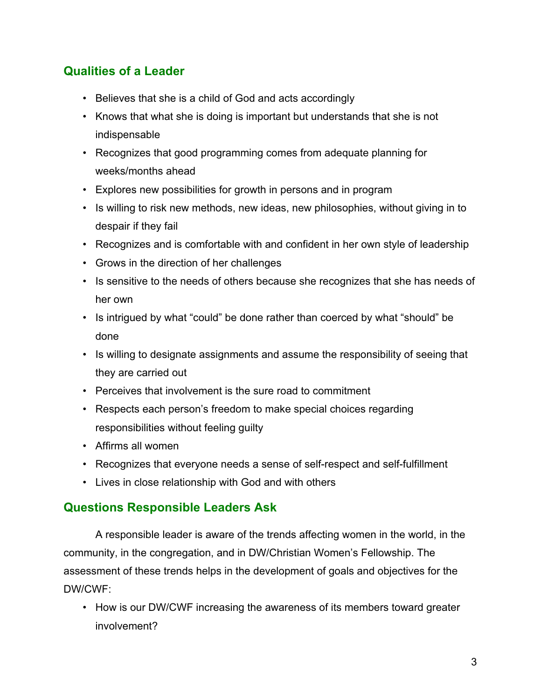# <span id="page-2-0"></span>**Qualities of a Leader**

- Believes that she is a child of God and acts accordingly
- Knows that what she is doing is important but understands that she is not indispensable
- Recognizes that good programming comes from adequate planning for weeks/months ahead
- Explores new possibilities for growth in persons and in program
- Is willing to risk new methods, new ideas, new philosophies, without giving in to despair if they fail
- Recognizes and is comfortable with and confident in her own style of leadership
- Grows in the direction of her challenges
- Is sensitive to the needs of others because she recognizes that she has needs of her own
- Is intrigued by what "could" be done rather than coerced by what "should" be done
- Is willing to designate assignments and assume the responsibility of seeing that they are carried out
- Perceives that involvement is the sure road to commitment
- Respects each person's freedom to make special choices regarding responsibilities without feeling guilty
- Affirms all women
- Recognizes that everyone needs a sense of self-respect and self-fulfillment
- Lives in close relationship with God and with others

### **Questions Responsible Leaders Ask**

A responsible leader is aware of the trends affecting women in the world, in the community, in the congregation, and in DW/Christian Women's Fellowship. The assessment of these trends helps in the development of goals and objectives for the DW/CWF:

• How is our DW/CWF increasing the awareness of its members toward greater involvement?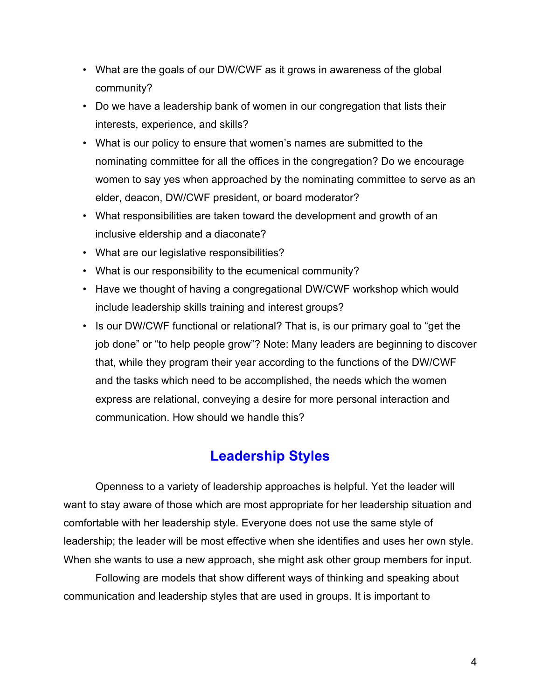- <span id="page-3-0"></span>• What are the goals of our DW/CWF as it grows in awareness of the global community?
- Do we have a leadership bank of women in our congregation that lists their interests, experience, and skills?
- What is our policy to ensure that women's names are submitted to the nominating committee for all the offices in the congregation? Do we encourage women to say yes when approached by the nominating committee to serve as an elder, deacon, DW/CWF president, or board moderator?
- What responsibilities are taken toward the development and growth of an inclusive eldership and a diaconate?
- What are our legislative responsibilities?
- What is our responsibility to the ecumenical community?
- Have we thought of having a congregational DW/CWF workshop which would include leadership skills training and interest groups?
- Is our DW/CWF functional or relational? That is, is our primary goal to "get the job done" or "to help people grow"? Note: Many leaders are beginning to discover that, while they program their year according to the functions of the DW/CWF and the tasks which need to be accomplished, the needs which the women express are relational, conveying a desire for more personal interaction and communication. How should we handle this?

# **Leadership Styles**

Openness to a variety of leadership approaches is helpful. Yet the leader will want to stay aware of those which are most appropriate for her leadership situation and comfortable with her leadership style. Everyone does not use the same style of leadership; the leader will be most effective when she identifies and uses her own style. When she wants to use a new approach, she might ask other group members for input.

Following are models that show different ways of thinking and speaking about communication and leadership styles that are used in groups. It is important to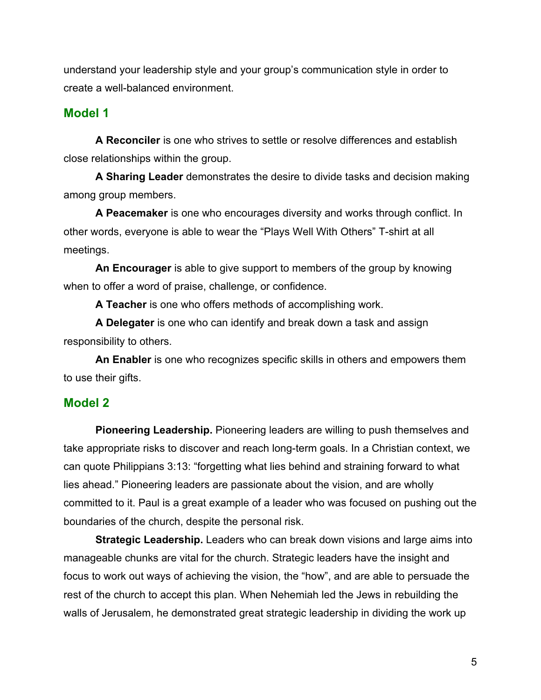<span id="page-4-0"></span>understand your leadership style and your group's communication style in order to create a well-balanced environment.

### **Model 1**

**A Reconciler** is one who strives to settle or resolve differences and establish close relationships within the group.

**A Sharing Leader** demonstrates the desire to divide tasks and decision making among group members.

**A Peacemaker** is one who encourages diversity and works through conflict. In other words, everyone is able to wear the "Plays Well With Others" T-shirt at all meetings.

**An Encourager** is able to give support to members of the group by knowing when to offer a word of praise, challenge, or confidence.

**A Teacher** is one who offers methods of accomplishing work.

**A Delegater** is one who can identify and break down a task and assign responsibility to others.

**An Enabler** is one who recognizes specific skills in others and empowers them to use their gifts.

#### **Model 2**

**Pioneering Leadership.** Pioneering leaders are willing to push themselves and take appropriate risks to discover and reach long-term goals. In a Christian context, we can quote Philippians 3:13: "forgetting what lies behind and straining forward to what lies ahead." Pioneering leaders are passionate about the vision, and are wholly committed to it. Paul is a great example of a leader who was focused on pushing out the boundaries of the church, despite the personal risk.

**Strategic Leadership.** Leaders who can break down visions and large aims into manageable chunks are vital for the church. Strategic leaders have the insight and focus to work out ways of achieving the vision, the "how", and are able to persuade the rest of the church to accept this plan. When Nehemiah led the Jews in rebuilding the walls of Jerusalem, he demonstrated great strategic leadership in dividing the work up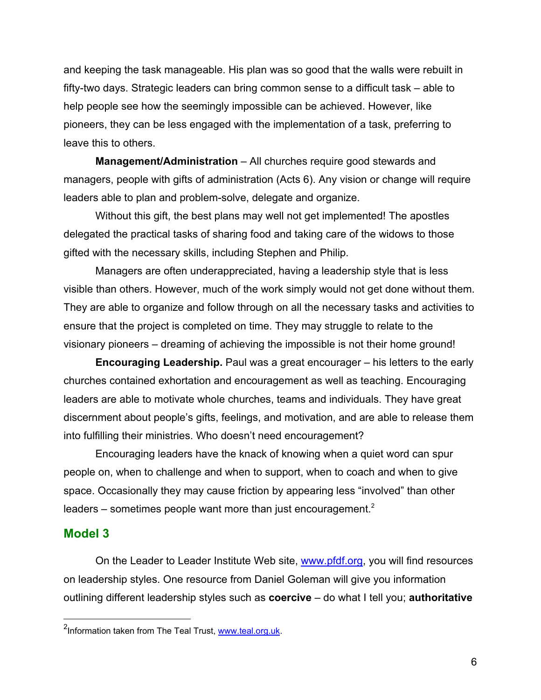and keeping the task manageable. His plan was so good that the walls were rebuilt in fifty-two days. Strategic leaders can bring common sense to a difficult task – able to help people see how the seemingly impossible can be achieved. However, like pioneers, they can be less engaged with the implementation of a task, preferring to leave this to others.

**Management/Administration** – All churches require good stewards and managers, people with gifts of administration (Acts 6). Any vision or change will require leaders able to plan and problem-solve, delegate and organize.

Without this gift, the best plans may well not get implemented! The apostles delegated the practical tasks of sharing food and taking care of the widows to those gifted with the necessary skills, including Stephen and Philip.

Managers are often underappreciated, having a leadership style that is less visible than others. However, much of the work simply would not get done without them. They are able to organize and follow through on all the necessary tasks and activities to ensure that the project is completed on time. They may struggle to relate to the visionary pioneers – dreaming of achieving the impossible is not their home ground!

**Encouraging Leadership.** Paul was a great encourager – his letters to the early churches contained exhortation and encouragement as well as teaching. Encouraging leaders are able to motivate whole churches, teams and individuals. They have great discernment about people's gifts, feelings, and motivation, and are able to release them into fulfilling their ministries. Who doesn't need encouragement?

Encouraging leaders have the knack of knowing when a quiet word can spur people on, when to challenge and when to support, when to coach and when to give space. Occasionally they may cause friction by appearing less "involved" than other leaders – sometimes people want more than just encouragement. $2$ 

#### **Model 3**

On the Leader to Leader Institute Web site, [www.pfdf.org,](www.pfdf.org) you will find resources on leadership styles. One resource from Daniel Goleman will give you information outlining different leadership styles such as **coercive** – do what I tell you; **authoritative**

 <sup>2</sup> Information taken from The Teal Trust, [www.teal.org.uk.](www.teal.org.uk)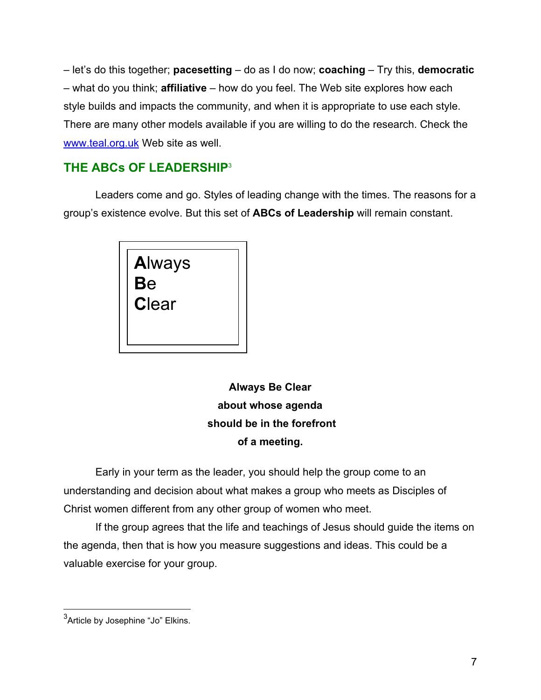<span id="page-6-0"></span>– let's do this together; **pacesetting** – do as I do now; **coaching** – Try this, **democratic** – what do you think; **affiliative** – how do you feel. The Web site explores how each style builds and impacts the community, and when it is appropriate to use each style. There are many other models available if you are willing to do the research. Check the <www.teal.org.uk> Web site as well.

# **THE ABCs OF LEADERSHIP**<sup>3</sup>

Leaders come and go. Styles of leading change with the times. The reasons for a group's existence evolve. But this set of **ABCs of Leadership** will remain constant.



**Always Be Clear about whose agenda should be in the forefront of a meeting.**

Early in your term as the leader, you should help the group come to an understanding and decision about what makes a group who meets as Disciples of Christ women different from any other group of women who meet.

If the group agrees that the life and teachings of Jesus should guide the items on the agenda, then that is how you measure suggestions and ideas. This could be a valuable exercise for your group.

 <sup>3</sup> Article by Josephine "Jo" Elkins.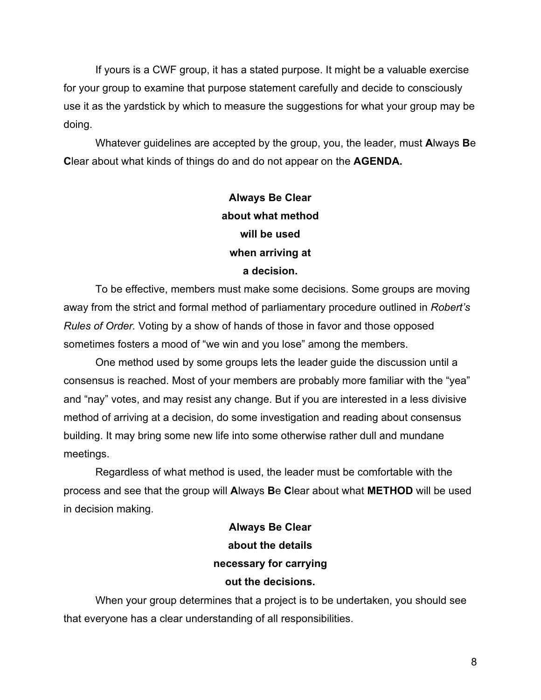If yours is a CWF group, it has a stated purpose. It might be a valuable exercise for your group to examine that purpose statement carefully and decide to consciously use it as the yardstick by which to measure the suggestions for what your group may be doing.

Whatever guidelines are accepted by the group, you, the leader, must **A**lways **B**e **C**lear about what kinds of things do and do not appear on the **AGENDA.**

# **Always Be Clear about what method will be used when arriving at a decision.**

To be effective, members must make some decisions. Some groups are moving away from the strict and formal method of parliamentary procedure outlined in *Robert's Rules of Order.* Voting by a show of hands of those in favor and those opposed sometimes fosters a mood of "we win and you lose" among the members.

One method used by some groups lets the leader guide the discussion until a consensus is reached. Most of your members are probably more familiar with the "yea" and "nay" votes, and may resist any change. But if you are interested in a less divisive method of arriving at a decision, do some investigation and reading about consensus building. It may bring some new life into some otherwise rather dull and mundane meetings.

Regardless of what method is used, the leader must be comfortable with the process and see that the group will **A**lways **B**e **C**lear about what **METHOD** will be used in decision making.

# **Always Be Clear about the details necessary for carrying out the decisions.**

When your group determines that a project is to be undertaken, you should see that everyone has a clear understanding of all responsibilities.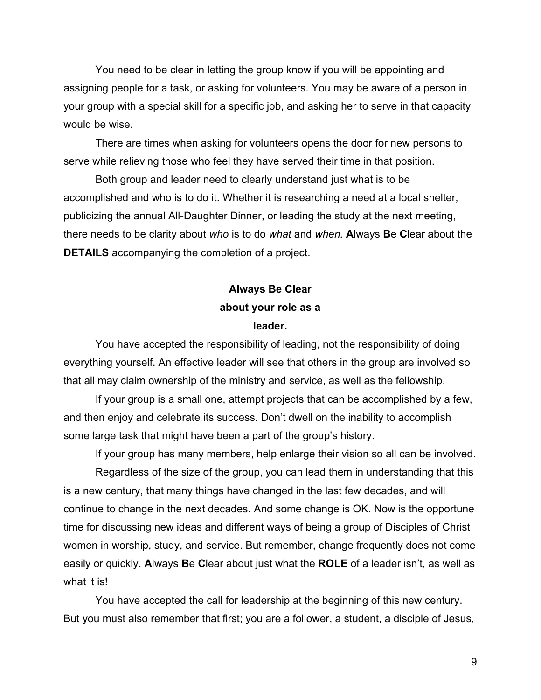You need to be clear in letting the group know if you will be appointing and assigning people for a task, or asking for volunteers. You may be aware of a person in your group with a special skill for a specific job, and asking her to serve in that capacity would be wise.

There are times when asking for volunteers opens the door for new persons to serve while relieving those who feel they have served their time in that position.

Both group and leader need to clearly understand just what is to be accomplished and who is to do it. Whether it is researching a need at a local shelter, publicizing the annual All-Daughter Dinner, or leading the study at the next meeting, there needs to be clarity about *who* is to do *what* and *when.* **A**lways **B**e **C**lear about the **DETAILS** accompanying the completion of a project.

# **Always Be Clear about your role as a leader.**

You have accepted the responsibility of leading, not the responsibility of doing everything yourself. An effective leader will see that others in the group are involved so that all may claim ownership of the ministry and service, as well as the fellowship.

If your group is a small one, attempt projects that can be accomplished by a few, and then enjoy and celebrate its success. Don't dwell on the inability to accomplish some large task that might have been a part of the group's history.

If your group has many members, help enlarge their vision so all can be involved.

Regardless of the size of the group, you can lead them in understanding that this is a new century, that many things have changed in the last few decades, and will continue to change in the next decades. And some change is OK. Now is the opportune time for discussing new ideas and different ways of being a group of Disciples of Christ women in worship, study, and service. But remember, change frequently does not come easily or quickly. **A**lways **B**e **C**lear about just what the **ROLE** of a leader isn't, as well as what it is!

You have accepted the call for leadership at the beginning of this new century. But you must also remember that first; you are a follower, a student, a disciple of Jesus,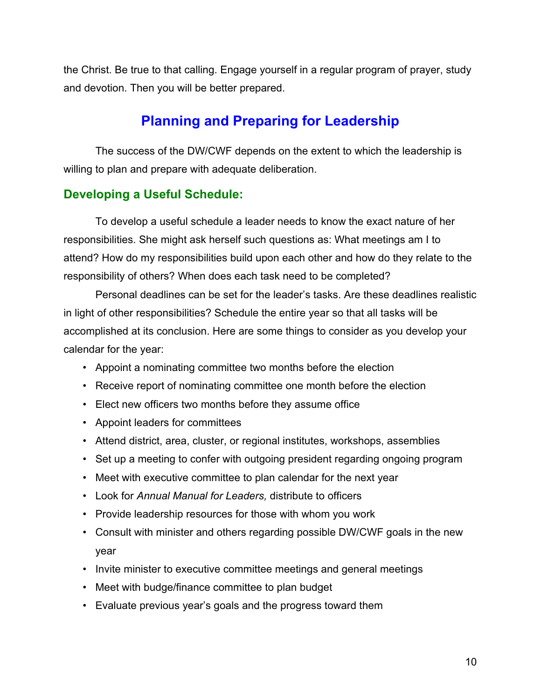<span id="page-9-0"></span>the Christ. Be true to that calling. Engage yourself in a regular program of prayer, study and devotion. Then you will be better prepared.

# **Planning and Preparing for Leadership**

The success of the DW/CWF depends on the extent to which the leadership is willing to plan and prepare with adequate deliberation.

### **Developing a Useful Schedule:**

To develop a useful schedule a leader needs to know the exact nature of her responsibilities. She might ask herself such questions as: What meetings am I to attend? How do my responsibilities build upon each other and how do they relate to the responsibility of others? When does each task need to be completed?

Personal deadlines can be set for the leader's tasks. Are these deadlines realistic in light of other responsibilities? Schedule the entire year so that all tasks will be accomplished at its conclusion. Here are some things to consider as you develop your calendar for the year:

- Appoint a nominating committee two months before the election
- Receive report of nominating committee one month before the election
- Elect new officers two months before they assume office
- Appoint leaders for committees
- Attend district, area, cluster, or regional institutes, workshops, assemblies
- Set up a meeting to confer with outgoing president regarding ongoing program
- Meet with executive committee to plan calendar for the next year
- Look for *Annual Manual for Leaders,* distribute to officers
- Provide leadership resources for those with whom you work
- Consult with minister and others regarding possible DW/CWF goals in the new year
- Invite minister to executive committee meetings and general meetings
- Meet with budge/finance committee to plan budget
- Evaluate previous year's goals and the progress toward them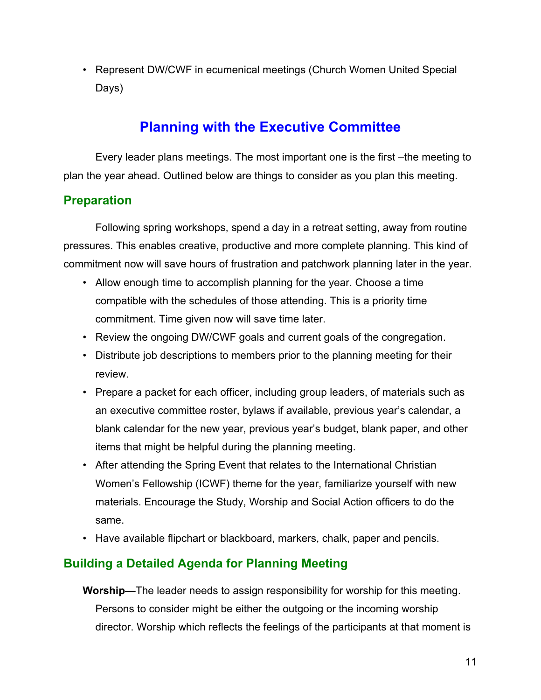<span id="page-10-0"></span>• Represent DW/CWF in ecumenical meetings (Church Women United Special Days)

# **Planning with the Executive Committee**

Every leader plans meetings. The most important one is the first –the meeting to plan the year ahead. Outlined below are things to consider as you plan this meeting.

# **Preparation**

Following spring workshops, spend a day in a retreat setting, away from routine pressures. This enables creative, productive and more complete planning. This kind of commitment now will save hours of frustration and patchwork planning later in the year.

- Allow enough time to accomplish planning for the year. Choose a time compatible with the schedules of those attending. This is a priority time commitment. Time given now will save time later.
- Review the ongoing DW/CWF goals and current goals of the congregation.
- Distribute job descriptions to members prior to the planning meeting for their review.
- Prepare a packet for each officer, including group leaders, of materials such as an executive committee roster, bylaws if available, previous year's calendar, a blank calendar for the new year, previous year's budget, blank paper, and other items that might be helpful during the planning meeting.
- After attending the Spring Event that relates to the International Christian Women's Fellowship (ICWF) theme for the year, familiarize yourself with new materials. Encourage the Study, Worship and Social Action officers to do the same.
- Have available flipchart or blackboard, markers, chalk, paper and pencils.

# **Building a Detailed Agenda for Planning Meeting**

**Worship—**The leader needs to assign responsibility for worship for this meeting. Persons to consider might be either the outgoing or the incoming worship director. Worship which reflects the feelings of the participants at that moment is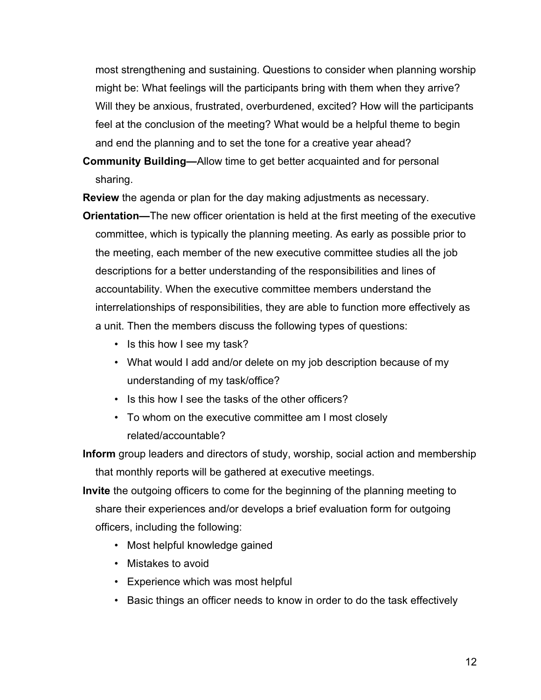most strengthening and sustaining. Questions to consider when planning worship might be: What feelings will the participants bring with them when they arrive? Will they be anxious, frustrated, overburdened, excited? How will the participants feel at the conclusion of the meeting? What would be a helpful theme to begin and end the planning and to set the tone for a creative year ahead?

**Community Building—**Allow time to get better acquainted and for personal sharing.

**Review** the agenda or plan for the day making adjustments as necessary.

- **Orientation—**The new officer orientation is held at the first meeting of the executive committee, which is typically the planning meeting. As early as possible prior to the meeting, each member of the new executive committee studies all the job descriptions for a better understanding of the responsibilities and lines of accountability. When the executive committee members understand the interrelationships of responsibilities, they are able to function more effectively as a unit. Then the members discuss the following types of questions:
	- Is this how I see my task?
	- What would I add and/or delete on my job description because of my understanding of my task/office?
	- Is this how I see the tasks of the other officers?
	- To whom on the executive committee am I most closely related/accountable?

**Inform** group leaders and directors of study, worship, social action and membership that monthly reports will be gathered at executive meetings.

- **Invite** the outgoing officers to come for the beginning of the planning meeting to share their experiences and/or develops a brief evaluation form for outgoing officers, including the following:
	- Most helpful knowledge gained
	- Mistakes to avoid
	- Experience which was most helpful
	- Basic things an officer needs to know in order to do the task effectively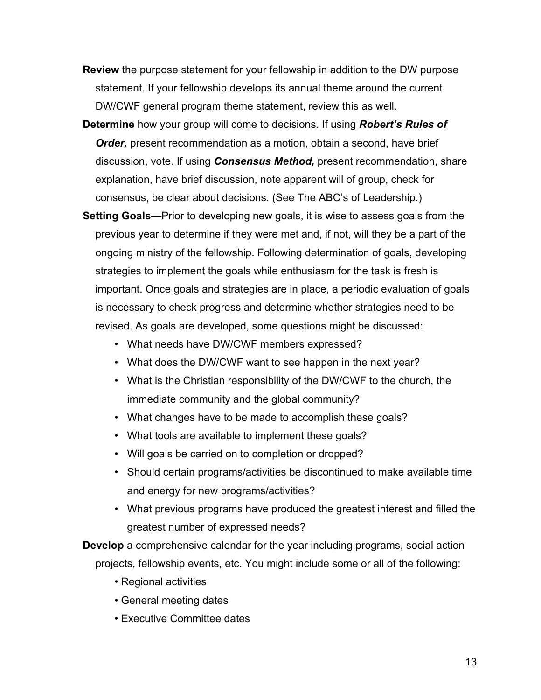- **Review** the purpose statement for your fellowship in addition to the DW purpose statement. If your fellowship develops its annual theme around the current DW/CWF general program theme statement, review this as well.
- **Determine** how your group will come to decisions. If using *Robert's Rules of Order,* present recommendation as a motion, obtain a second, have brief discussion, vote. If using *Consensus Method,* present recommendation, share explanation, have brief discussion, note apparent will of group, check for consensus, be clear about decisions. (See The ABC's of Leadership.)
- **Setting Goals—**Prior to developing new goals, it is wise to assess goals from the previous year to determine if they were met and, if not, will they be a part of the ongoing ministry of the fellowship. Following determination of goals, developing strategies to implement the goals while enthusiasm for the task is fresh is important. Once goals and strategies are in place, a periodic evaluation of goals is necessary to check progress and determine whether strategies need to be revised. As goals are developed, some questions might be discussed:
	- What needs have DW/CWF members expressed?
	- What does the DW/CWF want to see happen in the next year?
	- What is the Christian responsibility of the DW/CWF to the church, the immediate community and the global community?
	- What changes have to be made to accomplish these goals?
	- What tools are available to implement these goals?
	- Will goals be carried on to completion or dropped?
	- Should certain programs/activities be discontinued to make available time and energy for new programs/activities?
	- What previous programs have produced the greatest interest and filled the greatest number of expressed needs?

**Develop** a comprehensive calendar for the year including programs, social action projects, fellowship events, etc. You might include some or all of the following:

- Regional activities
- General meeting dates
- Executive Committee dates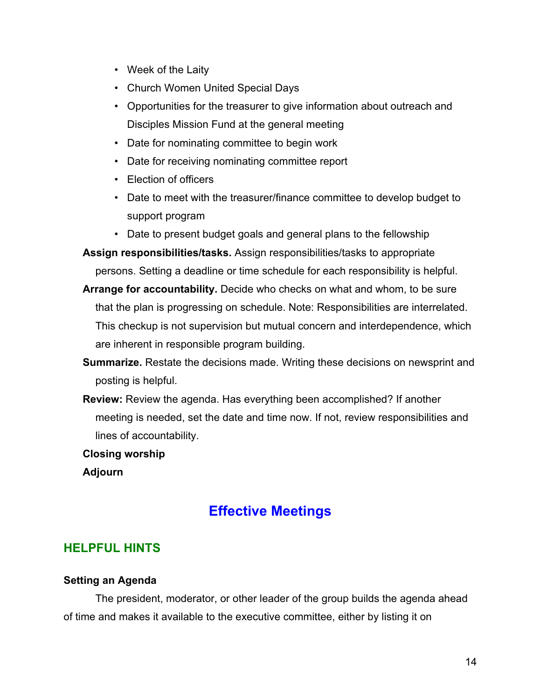- <span id="page-13-0"></span>• Week of the Laity
- Church Women United Special Days
- Opportunities for the treasurer to give information about outreach and Disciples Mission Fund at the general meeting
- Date for nominating committee to begin work
- Date for receiving nominating committee report
- Election of officers
- Date to meet with the treasurer/finance committee to develop budget to support program
- Date to present budget goals and general plans to the fellowship

**Assign responsibilities/tasks.** Assign responsibilities/tasks to appropriate persons. Setting a deadline or time schedule for each responsibility is helpful.

- **Arrange for accountability.** Decide who checks on what and whom, to be sure that the plan is progressing on schedule. Note: Responsibilities are interrelated. This checkup is not supervision but mutual concern and interdependence, which are inherent in responsible program building.
- **Summarize.** Restate the decisions made. Writing these decisions on newsprint and posting is helpful.
- **Review:** Review the agenda. Has everything been accomplished? If another meeting is needed, set the date and time now. If not, review responsibilities and lines of accountability.

**Closing worship**

**Adjourn**

# **Effective Meetings**

### **HELPFUL HINTS**

#### **Setting an Agenda**

The president, moderator, or other leader of the group builds the agenda ahead of time and makes it available to the executive committee, either by listing it on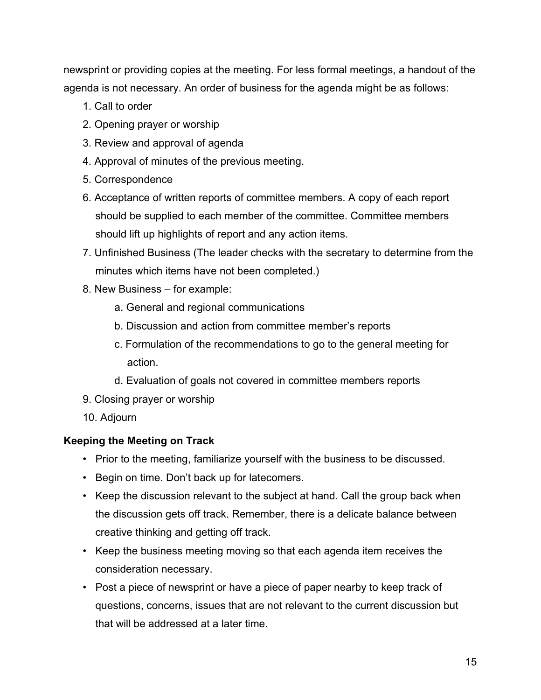<span id="page-14-0"></span>newsprint or providing copies at the meeting. For less formal meetings, a handout of the agenda is not necessary. An order of business for the agenda might be as follows:

- 1. Call to order
- 2. Opening prayer or worship
- 3. Review and approval of agenda
- 4. Approval of minutes of the previous meeting.
- 5. Correspondence
- 6. Acceptance of written reports of committee members. A copy of each report should be supplied to each member of the committee. Committee members should lift up highlights of report and any action items.
- 7. Unfinished Business (The leader checks with the secretary to determine from the minutes which items have not been completed.)
- 8. New Business for example:
	- a. General and regional communications
	- b. Discussion and action from committee member's reports
	- c. Formulation of the recommendations to go to the general meeting for action.
	- d. Evaluation of goals not covered in committee members reports
- 9. Closing prayer or worship
- 10. Adjourn

### **Keeping the Meeting on Track**

- Prior to the meeting, familiarize yourself with the business to be discussed.
- Begin on time. Don't back up for latecomers.
- Keep the discussion relevant to the subject at hand. Call the group back when the discussion gets off track. Remember, there is a delicate balance between creative thinking and getting off track.
- Keep the business meeting moving so that each agenda item receives the consideration necessary.
- Post a piece of newsprint or have a piece of paper nearby to keep track of questions, concerns, issues that are not relevant to the current discussion but that will be addressed at a later time.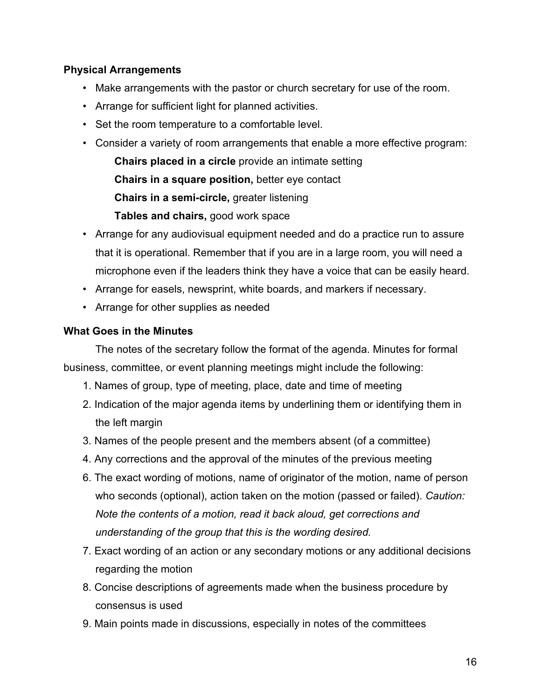### <span id="page-15-0"></span>**Physical Arrangements**

- Make arrangements with the pastor or church secretary for use of the room.
- Arrange for sufficient light for planned activities.
- Set the room temperature to a comfortable level.
- Consider a variety of room arrangements that enable a more effective program:

**Chairs placed in a circle** provide an intimate setting **Chairs in a square position,** better eye contact **Chairs in a semi-circle,** greater listening **Tables and chairs,** good work space

- Arrange for any audiovisual equipment needed and do a practice run to assure that it is operational. Remember that if you are in a large room, you will need a microphone even if the leaders think they have a voice that can be easily heard.
- Arrange for easels, newsprint, white boards, and markers if necessary.
- Arrange for other supplies as needed

### **What Goes in the Minutes**

The notes of the secretary follow the format of the agenda. Minutes for formal business, committee, or event planning meetings might include the following:

- 1. Names of group, type of meeting, place, date and time of meeting
- 2. Indication of the major agenda items by underlining them or identifying them in the left margin
- 3. Names of the people present and the members absent (of a committee)
- 4. Any corrections and the approval of the minutes of the previous meeting
- 6. The exact wording of motions, name of originator of the motion, name of person who seconds (optional), action taken on the motion (passed or failed). *Caution: Note the contents of a motion, read it back aloud, get corrections and understanding of the group that this is the wording desired.*
- 7. Exact wording of an action or any secondary motions or any additional decisions regarding the motion
- 8. Concise descriptions of agreements made when the business procedure by consensus is used
- 9. Main points made in discussions, especially in notes of the committees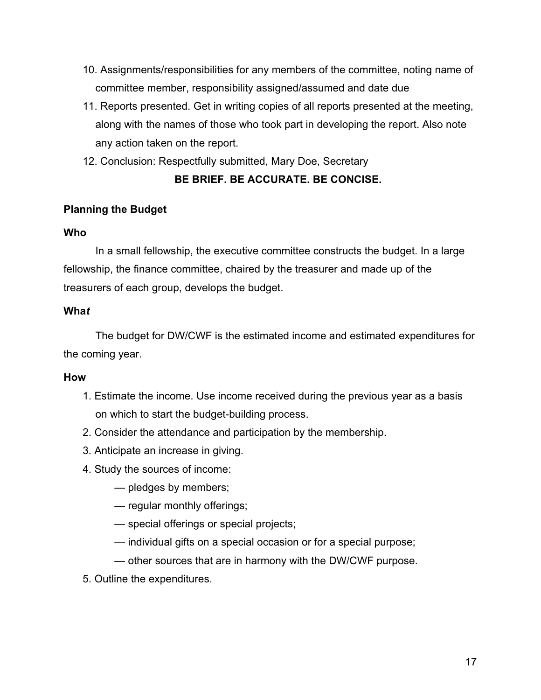- <span id="page-16-0"></span>10. Assignments/responsibilities for any members of the committee, noting name of committee member, responsibility assigned/assumed and date due
- 11. Reports presented. Get in writing copies of all reports presented at the meeting, along with the names of those who took part in developing the report. Also note any action taken on the report.
- 12. Conclusion: Respectfully submitted, Mary Doe, Secretary

### **BE BRIEF. BE ACCURATE. BE CONCISE.**

### **Planning the Budget**

### **Who**

In a small fellowship, the executive committee constructs the budget. In a large fellowship, the finance committee, chaired by the treasurer and made up of the treasurers of each group, develops the budget.

### **Wha***t*

The budget for DW/CWF is the estimated income and estimated expenditures for the coming year.

### **How**

- 1. Estimate the income. Use income received during the previous year as a basis on which to start the budget-building process.
- 2. Consider the attendance and participation by the membership.
- 3. Anticipate an increase in giving.
- 4. Study the sources of income:
	- pledges by members;
	- regular monthly offerings;
	- special offerings or special projects;
	- individual gifts on a special occasion or for a special purpose;
	- other sources that are in harmony with the DW/CWF purpose.
- 5. Outline the expenditures.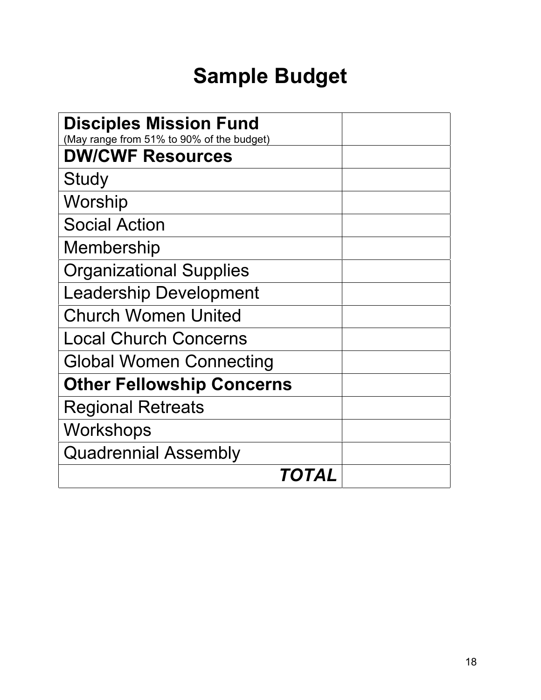# **Sample Budget**

| <b>Disciples Mission Fund</b><br>(May range from 51% to 90% of the budget) |  |  |  |
|----------------------------------------------------------------------------|--|--|--|
| <b>DW/CWF Resources</b>                                                    |  |  |  |
| Study                                                                      |  |  |  |
| Worship                                                                    |  |  |  |
| <b>Social Action</b>                                                       |  |  |  |
| Membership                                                                 |  |  |  |
| <b>Organizational Supplies</b>                                             |  |  |  |
| <b>Leadership Development</b>                                              |  |  |  |
| <b>Church Women United</b>                                                 |  |  |  |
| <b>Local Church Concerns</b>                                               |  |  |  |
| <b>Global Women Connecting</b>                                             |  |  |  |
| <b>Other Fellowship Concerns</b>                                           |  |  |  |
| <b>Regional Retreats</b>                                                   |  |  |  |
| Workshops                                                                  |  |  |  |
| <b>Quadrennial Assembly</b>                                                |  |  |  |
| TOTAL                                                                      |  |  |  |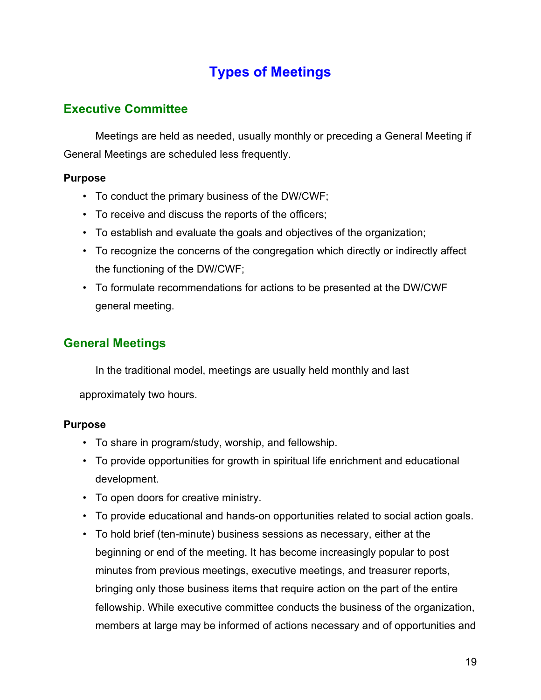# **Types of Meetings**

### <span id="page-18-0"></span>**Executive Committee**

Meetings are held as needed, usually monthly or preceding a General Meeting if General Meetings are scheduled less frequently.

### **Purpose**

- To conduct the primary business of the DW/CWF;
- To receive and discuss the reports of the officers;
- To establish and evaluate the goals and objectives of the organization;
- To recognize the concerns of the congregation which directly or indirectly affect the functioning of the DW/CWF;
- To formulate recommendations for actions to be presented at the DW/CWF general meeting.

# **General Meetings**

In the traditional model, meetings are usually held monthly and last

approximately two hours.

### **Purpose**

- To share in program/study, worship, and fellowship.
- To provide opportunities for growth in spiritual life enrichment and educational development.
- To open doors for creative ministry.
- To provide educational and hands-on opportunities related to social action goals.
- To hold brief (ten-minute) business sessions as necessary, either at the beginning or end of the meeting. It has become increasingly popular to post minutes from previous meetings, executive meetings, and treasurer reports, bringing only those business items that require action on the part of the entire fellowship. While executive committee conducts the business of the organization, members at large may be informed of actions necessary and of opportunities and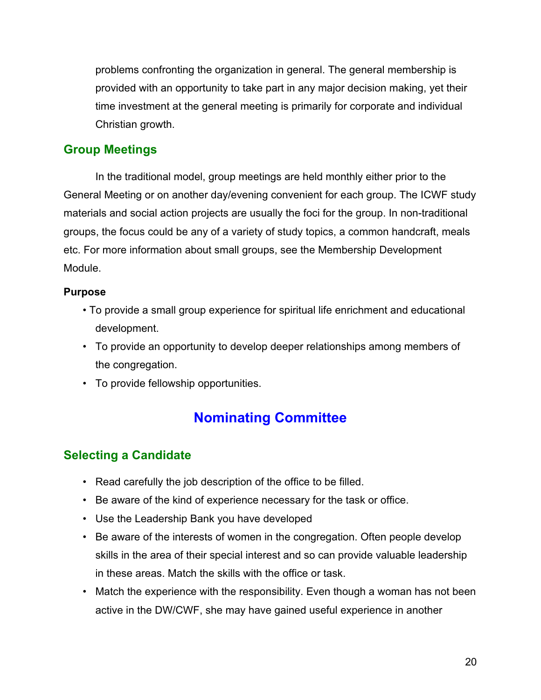<span id="page-19-0"></span>problems confronting the organization in general. The general membership is provided with an opportunity to take part in any major decision making, yet their time investment at the general meeting is primarily for corporate and individual Christian growth.

### **Group Meetings**

In the traditional model, group meetings are held monthly either prior to the General Meeting or on another day/evening convenient for each group. The ICWF study materials and social action projects are usually the foci for the group. In non-traditional groups, the focus could be any of a variety of study topics, a common handcraft, meals etc. For more information about small groups, see the Membership Development Module.

### **Purpose**

- To provide a small group experience for spiritual life enrichment and educational development.
- To provide an opportunity to develop deeper relationships among members of the congregation.
- To provide fellowship opportunities.

# **Nominating Committee**

### **Selecting a Candidate**

- Read carefully the job description of the office to be filled.
- Be aware of the kind of experience necessary for the task or office.
- Use the Leadership Bank you have developed
- Be aware of the interests of women in the congregation. Often people develop skills in the area of their special interest and so can provide valuable leadership in these areas. Match the skills with the office or task.
- Match the experience with the responsibility. Even though a woman has not been active in the DW/CWF, she may have gained useful experience in another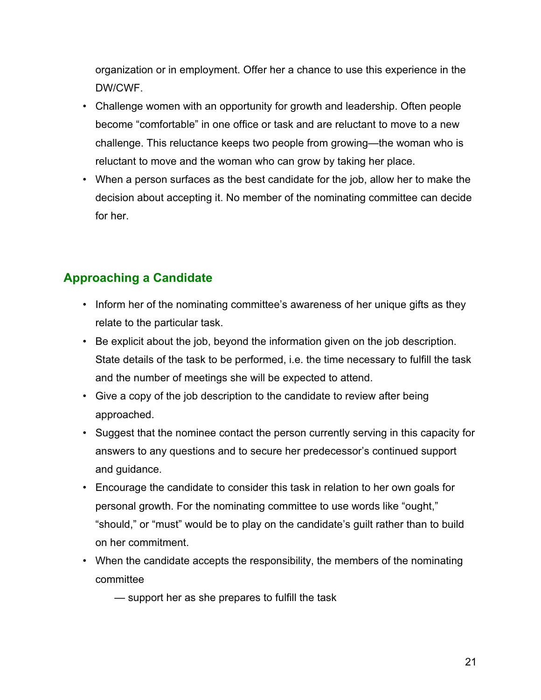<span id="page-20-0"></span>organization or in employment. Offer her a chance to use this experience in the DW/CWF.

- Challenge women with an opportunity for growth and leadership. Often people become "comfortable" in one office or task and are reluctant to move to a new challenge. This reluctance keeps two people from growing—the woman who is reluctant to move and the woman who can grow by taking her place.
- When a person surfaces as the best candidate for the job, allow her to make the decision about accepting it. No member of the nominating committee can decide for her.

# **Approaching a Candidate**

- Inform her of the nominating committee's awareness of her unique gifts as they relate to the particular task.
- Be explicit about the job, beyond the information given on the job description. State details of the task to be performed, i.e. the time necessary to fulfill the task and the number of meetings she will be expected to attend.
- Give a copy of the job description to the candidate to review after being approached.
- Suggest that the nominee contact the person currently serving in this capacity for answers to any questions and to secure her predecessor's continued support and guidance.
- Encourage the candidate to consider this task in relation to her own goals for personal growth. For the nominating committee to use words like "ought," "should," or "must" would be to play on the candidate's guilt rather than to build on her commitment.
- When the candidate accepts the responsibility, the members of the nominating committee
	- support her as she prepares to fulfill the task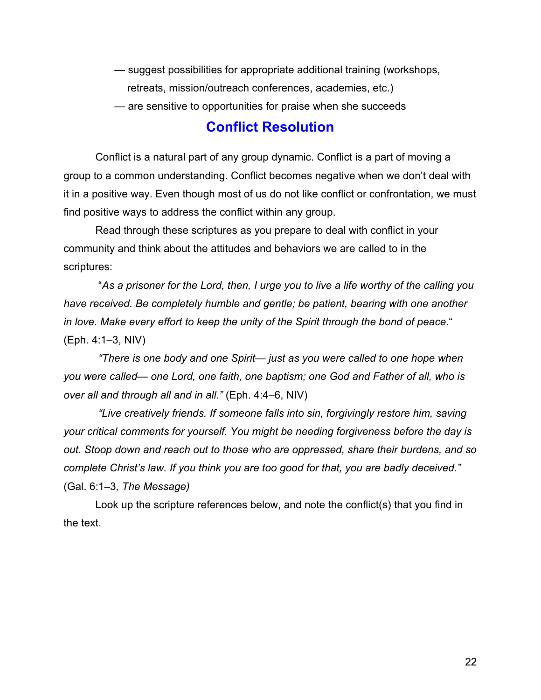- <span id="page-21-0"></span>— suggest possibilities for appropriate additional training (workshops, retreats, mission/outreach conferences, academies, etc.)
- are sensitive to opportunities for praise when she succeeds

### **Conflict Resolution**

Conflict is a natural part of any group dynamic. Conflict is a part of moving a group to a common understanding. Conflict becomes negative when we don't deal with it in a positive way. Even though most of us do not like conflict or confrontation, we must find positive ways to address the conflict within any group.

Read through these scriptures as you prepare to deal with conflict in your community and think about the attitudes and behaviors we are called to in the scriptures:

 "*As a prisoner for the Lord, then, I urge you to live a life worthy of the calling you have received. Be completely humble and gentle; be patient, bearing with one another in love. Make every effort to keep the unity of the Spirit through the bond of peace*." (Eph. 4:1–3, NIV)

 *"There is one body and one Spirit— just as you were called to one hope when you were called— one Lord, one faith, one baptism; one God and Father of all, who is over all and through all and in all."* (Eph. 4:4–6, NIV)

*"Live creatively friends. If someone falls into sin, forgivingly restore him, saving your critical comments for yourself. You might be needing forgiveness before the day is out. Stoop down and reach out to those who are oppressed, share their burdens, and so complete Christ's law. If you think you are too good for that, you are badly deceived."* (Gal. 6:1–3*, The Message)*

Look up the scripture references below, and note the conflict(s) that you find in the text.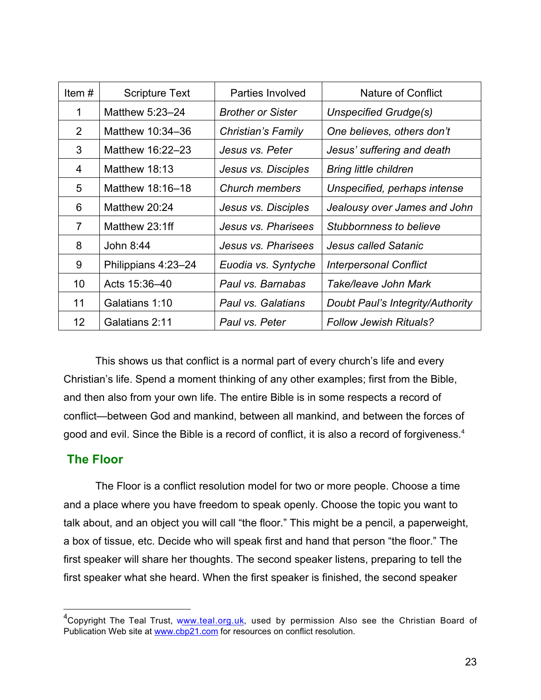| Item#             | <b>Scripture Text</b> | Parties Involved         | Nature of Conflict               |
|-------------------|-----------------------|--------------------------|----------------------------------|
| 1                 | Matthew 5:23-24       | <b>Brother or Sister</b> | Unspecified Grudge(s)            |
| $\overline{2}$    | Matthew 10:34-36      | Christian's Family       | One believes, others don't       |
| 3                 | Matthew 16:22-23      | Jesus vs. Peter          | Jesus' suffering and death       |
| 4                 | Matthew 18:13         | Jesus vs. Disciples      | <b>Bring little children</b>     |
| 5                 | Matthew 18:16-18      | Church members           | Unspecified, perhaps intense     |
| 6                 | Matthew 20:24         | Jesus vs. Disciples      | Jealousy over James and John     |
| $\overline{7}$    | Matthew 23:1ff        | Jesus vs. Pharisees      | Stubbornness to believe          |
| 8                 | John 8:44             | Jesus vs. Pharisees      | Jesus called Satanic             |
| 9                 | Philippians 4:23-24   | Euodia vs. Syntyche      | <b>Interpersonal Conflict</b>    |
| 10                | Acts 15:36-40         | Paul vs. Barnabas        | Take/leave John Mark             |
| 11                | Galatians 1:10        | Paul vs. Galatians       | Doubt Paul's Integrity/Authority |
| $12 \overline{ }$ | Galatians 2:11        | Paul vs. Peter           | <b>Follow Jewish Rituals?</b>    |

This shows us that conflict is a normal part of every church's life and every Christian's life. Spend a moment thinking of any other examples; first from the Bible, and then also from your own life. The entire Bible is in some respects a record of conflict—between God and mankind, between all mankind, and between the forces of good and evil. Since the Bible is a record of conflict, it is also a record of forgiveness. $4$ 

### **The Floor**

The Floor is a conflict resolution model for two or more people. Choose a time and a place where you have freedom to speak openly. Choose the topic you want to talk about, and an object you will call "the floor." This might be a pencil, a paperweight, a box of tissue, etc. Decide who will speak first and hand that person "the floor." The first speaker will share her thoughts. The second speaker listens, preparing to tell the first speaker what she heard. When the first speaker is finished, the second speaker

 <sup>4</sup> Copyright The Teal Trust, [www.teal.org.uk,](www.teal.org.uk) used by permission Also see the Christian Board of Publication Web site at <www.cbp21.com>for resources on conflict resolution.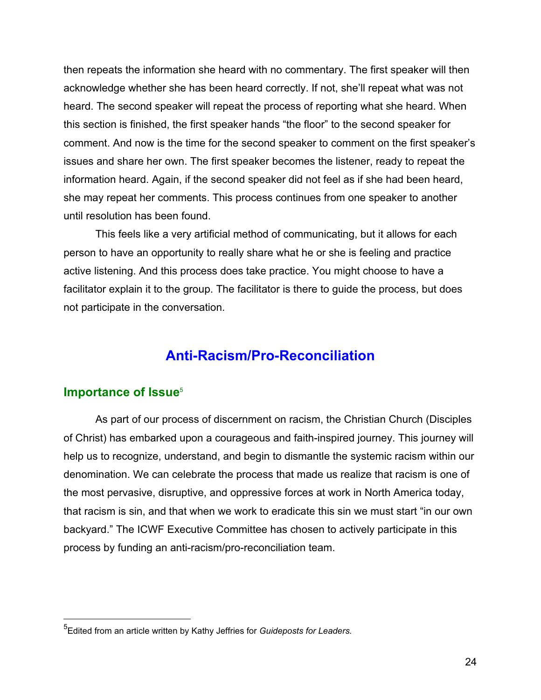<span id="page-23-0"></span>then repeats the information she heard with no commentary. The first speaker will then acknowledge whether she has been heard correctly. If not, she'll repeat what was not heard. The second speaker will repeat the process of reporting what she heard. When this section is finished, the first speaker hands "the floor" to the second speaker for comment. And now is the time for the second speaker to comment on the first speaker's issues and share her own. The first speaker becomes the listener, ready to repeat the information heard. Again, if the second speaker did not feel as if she had been heard, she may repeat her comments. This process continues from one speaker to another until resolution has been found.

This feels like a very artificial method of communicating, but it allows for each person to have an opportunity to really share what he or she is feeling and practice active listening. And this process does take practice. You might choose to have a facilitator explain it to the group. The facilitator is there to guide the process, but does not participate in the conversation.

# **Anti-Racism/Pro-Reconciliation**

### **Importance of Issue**<sup>5</sup>

As part of our process of discernment on racism, the Christian Church (Disciples of Christ) has embarked upon a courageous and faith-inspired journey. This journey will help us to recognize, understand, and begin to dismantle the systemic racism within our denomination. We can celebrate the process that made us realize that racism is one of the most pervasive, disruptive, and oppressive forces at work in North America today, that racism is sin, and that when we work to eradicate this sin we must start "in our own backyard." The ICWF Executive Committee has chosen to actively participate in this process by funding an anti-racism/pro-reconciliation team.

 <sup>5</sup> Edited from an article written by Kathy Jeffries for *Guideposts for Leaders.*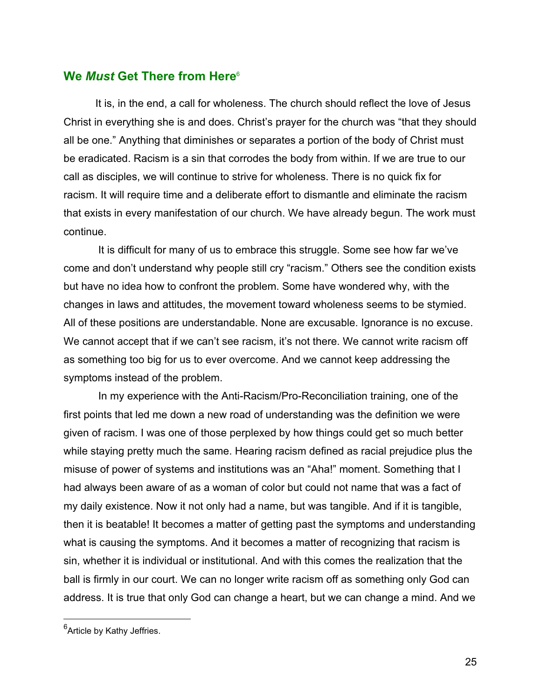### <span id="page-24-0"></span>**We** *Must* **Get There from Here**<sup>6</sup>

It is, in the end, a call for wholeness. The church should reflect the love of Jesus Christ in everything she is and does. Christ's prayer for the church was "that they should all be one." Anything that diminishes or separates a portion of the body of Christ must be eradicated. Racism is a sin that corrodes the body from within. If we are true to our call as disciples, we will continue to strive for wholeness. There is no quick fix for racism. It will require time and a deliberate effort to dismantle and eliminate the racism that exists in every manifestation of our church. We have already begun. The work must continue.

 It is difficult for many of us to embrace this struggle. Some see how far we've come and don't understand why people still cry "racism." Others see the condition exists but have no idea how to confront the problem. Some have wondered why, with the changes in laws and attitudes, the movement toward wholeness seems to be stymied. All of these positions are understandable. None are excusable. Ignorance is no excuse. We cannot accept that if we can't see racism, it's not there. We cannot write racism off as something too big for us to ever overcome. And we cannot keep addressing the symptoms instead of the problem.

 In my experience with the Anti-Racism/Pro-Reconciliation training, one of the first points that led me down a new road of understanding was the definition we were given of racism. I was one of those perplexed by how things could get so much better while staying pretty much the same. Hearing racism defined as racial prejudice plus the misuse of power of systems and institutions was an "Aha!" moment. Something that I had always been aware of as a woman of color but could not name that was a fact of my daily existence. Now it not only had a name, but was tangible. And if it is tangible, then it is beatable! It becomes a matter of getting past the symptoms and understanding what is causing the symptoms. And it becomes a matter of recognizing that racism is sin, whether it is individual or institutional. And with this comes the realization that the ball is firmly in our court. We can no longer write racism off as something only God can address. It is true that only God can change a heart, but we can change a mind. And we

<sup>&</sup>lt;u>e</u><br><sup>6</sup>Article by Kathy Jeffries.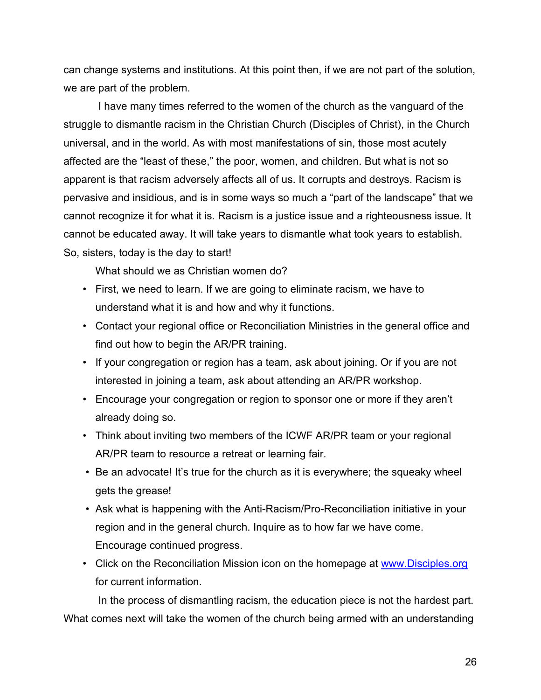can change systems and institutions. At this point then, if we are not part of the solution, we are part of the problem.

 I have many times referred to the women of the church as the vanguard of the struggle to dismantle racism in the Christian Church (Disciples of Christ), in the Church universal, and in the world. As with most manifestations of sin, those most acutely affected are the "least of these," the poor, women, and children. But what is not so apparent is that racism adversely affects all of us. It corrupts and destroys. Racism is pervasive and insidious, and is in some ways so much a "part of the landscape" that we cannot recognize it for what it is. Racism is a justice issue and a righteousness issue. It cannot be educated away. It will take years to dismantle what took years to establish. So, sisters, today is the day to start!

What should we as Christian women do?

- First, we need to learn. If we are going to eliminate racism, we have to understand what it is and how and why it functions.
- Contact your regional office or Reconciliation Ministries in the general office and find out how to begin the AR/PR training.
- If your congregation or region has a team, ask about joining. Or if you are not interested in joining a team, ask about attending an AR/PR workshop.
- Encourage your congregation or region to sponsor one or more if they aren't already doing so.
- Think about inviting two members of the ICWF AR/PR team or your regional AR/PR team to resource a retreat or learning fair.
- Be an advocate! It's true for the church as it is everywhere; the squeaky wheel gets the grease!
- Ask what is happening with the Anti-Racism/Pro-Reconciliation initiative in your region and in the general church. Inquire as to how far we have come. Encourage continued progress.
- Click on the Reconciliation Mission icon on the homepage at <www.Disciples.org> for current information.

 In the process of dismantling racism, the education piece is not the hardest part. What comes next will take the women of the church being armed with an understanding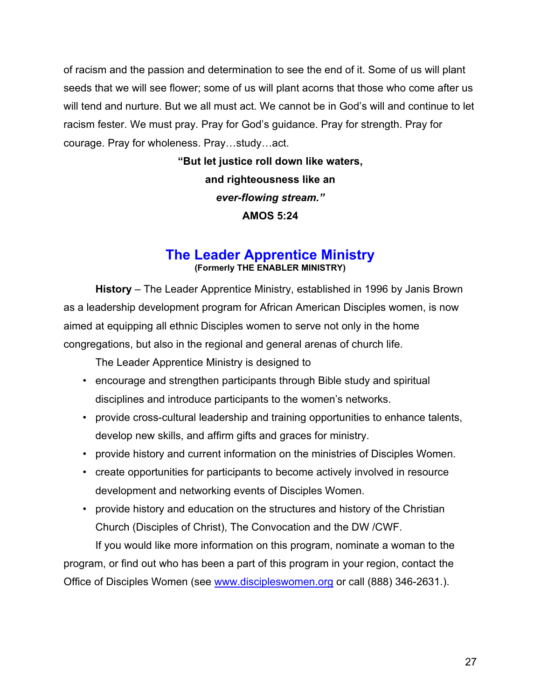<span id="page-26-0"></span>of racism and the passion and determination to see the end of it. Some of us will plant seeds that we will see flower; some of us will plant acorns that those who come after us will tend and nurture. But we all must act. We cannot be in God's will and continue to let racism fester. We must pray. Pray for God's guidance. Pray for strength. Pray for courage. Pray for wholeness. Pray…study…act.

> **"But let justice roll down like waters, and righteousness like an** *ever-flowing stream."* **AMOS 5:24**

### **The Leader Apprentice Ministry (Formerly THE ENABLER MINISTRY)**

**History** – The Leader Apprentice Ministry, established in 1996 by Janis Brown as a leadership development program for African American Disciples women, is now aimed at equipping all ethnic Disciples women to serve not only in the home congregations, but also in the regional and general arenas of church life.

The Leader Apprentice Ministry is designed to

- encourage and strengthen participants through Bible study and spiritual disciplines and introduce participants to the women's networks.
- provide cross-cultural leadership and training opportunities to enhance talents, develop new skills, and affirm gifts and graces for ministry.
- provide history and current information on the ministries of Disciples Women.
- create opportunities for participants to become actively involved in resource development and networking events of Disciples Women.
- provide history and education on the structures and history of the Christian Church (Disciples of Christ), The Convocation and the DW /CWF.

If you would like more information on this program, nominate a woman to the program, or find out who has been a part of this program in your region, contact the Office of Disciples Women (see <www.discipleswomen.org> or call (888) 346-2631.).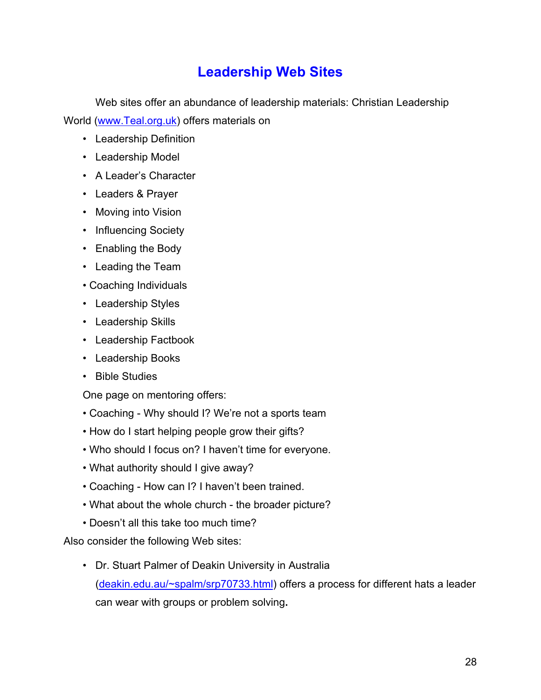# **Leadership Web Sites**

<span id="page-27-0"></span>Web sites offer an abundance of leadership materials: Christian Leadership World [\(www.Teal.org.uk\)](www.Teal.org.uk) offers materials on

- Leadership Definition
- Leadership Model
- A Leader's Character
- Leaders & Prayer
- Moving into Vision
- Influencing Society
- Enabling the Body
- Leading the Team
- Coaching Individuals
- Leadership Styles
- Leadership Skills
- Leadership Factbook
- Leadership Books
- Bible Studies

One page on mentoring offers:

- Coaching Why should I? We're not a sports team
- How do I start helping people grow their gifts?
- Who should I focus on? I haven't time for everyone.
- What authority should I give away?
- Coaching How can I? I haven't been trained.
- What about the whole church the broader picture?
- Doesn't all this take too much time?

Also consider the following Web sites:

• Dr. Stuart Palmer of Deakin University in Australia ([deakin.edu.au/~spalm/srp70733.html\)](deakin.edu.au/~spalm/srp70733.html) offers a process for different hats a leader can wear with groups or problem solving**.**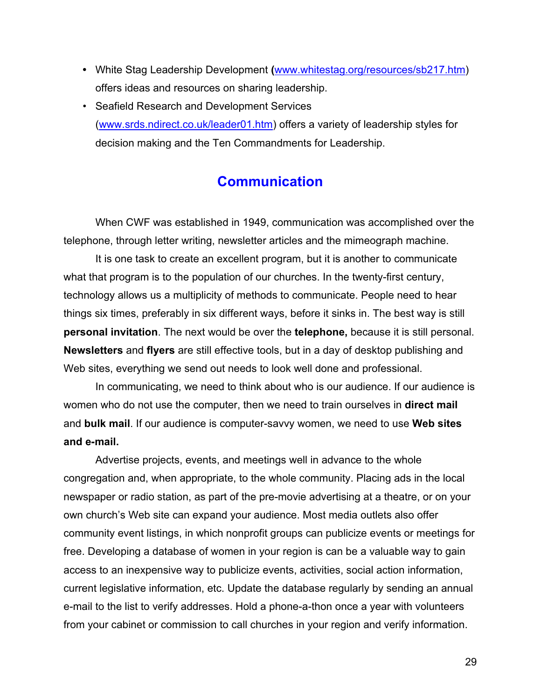- <span id="page-28-0"></span>**•** White Stag Leadership Development **(**[www.whitestag.org/resources/sb217.htm\)](www.whitestag.org/resources/sb217.htm) offers ideas and resources on sharing leadership.
- Seafield Research and Development Services ([www.srds.ndirect.co.uk/leader01.htm\)](www.srds.ndirect.co.uk/leader01.htm) offers a variety of leadership styles for decision making and the Ten Commandments for Leadership.

# **Communication**

When CWF was established in 1949, communication was accomplished over the telephone, through letter writing, newsletter articles and the mimeograph machine.

It is one task to create an excellent program, but it is another to communicate what that program is to the population of our churches. In the twenty-first century, technology allows us a multiplicity of methods to communicate. People need to hear things six times, preferably in six different ways, before it sinks in. The best way is still **personal invitation**. The next would be over the **telephone,** because it is still personal. **Newsletters** and **flyers** are still effective tools, but in a day of desktop publishing and Web sites, everything we send out needs to look well done and professional.

In communicating, we need to think about who is our audience. If our audience is women who do not use the computer, then we need to train ourselves in **direct mail** and **bulk mail**. If our audience is computer-savvy women, we need to use **Web sites and e-mail.**

Advertise projects, events, and meetings well in advance to the whole congregation and, when appropriate, to the whole community. Placing ads in the local newspaper or radio station, as part of the pre-movie advertising at a theatre, or on your own church's Web site can expand your audience. Most media outlets also offer community event listings, in which nonprofit groups can publicize events or meetings for free. Developing a database of women in your region is can be a valuable way to gain access to an inexpensive way to publicize events, activities, social action information, current legislative information, etc. Update the database regularly by sending an annual e-mail to the list to verify addresses. Hold a phone-a-thon once a year with volunteers from your cabinet or commission to call churches in your region and verify information.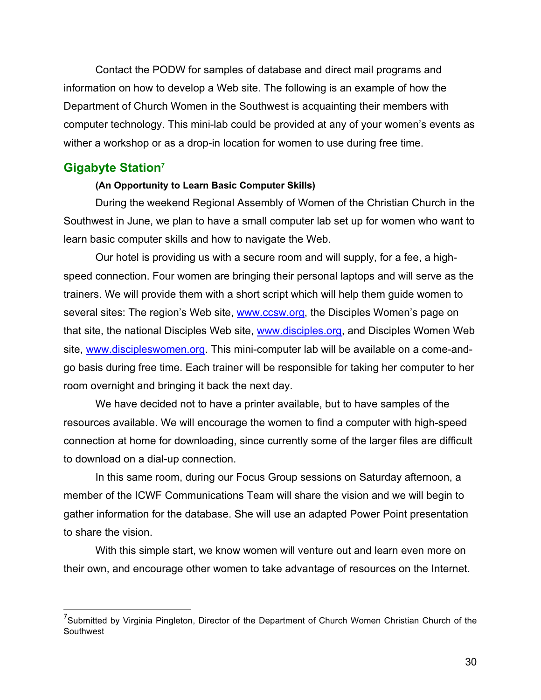<span id="page-29-0"></span>Contact the PODW for samples of database and direct mail programs and information on how to develop a Web site. The following is an example of how the Department of Church Women in the Southwest is acquainting their members with computer technology. This mini-lab could be provided at any of your women's events as wither a workshop or as a drop-in location for women to use during free time.

### **Gigabyte Station7**

#### **(An Opportunity to Learn Basic Computer Skills)**

During the weekend Regional Assembly of Women of the Christian Church in the Southwest in June, we plan to have a small computer lab set up for women who want to learn basic computer skills and how to navigate the Web.

Our hotel is providing us with a secure room and will supply, for a fee, a highspeed connection. Four women are bringing their personal laptops and will serve as the trainers. We will provide them with a short script which will help them guide women to several sites: The region's Web site, [www.ccsw.org,](www.ccsw.org) the Disciples Women's page on that site, the national Disciples Web site, [www.disciples.org,](www.disciples.org) and Disciples Women Web site, [www.discipleswomen.org.](www.discipleswomen.org) This mini-computer lab will be available on a come-andgo basis during free time. Each trainer will be responsible for taking her computer to her room overnight and bringing it back the next day.

We have decided not to have a printer available, but to have samples of the resources available. We will encourage the women to find a computer with high-speed connection at home for downloading, since currently some of the larger files are difficult to download on a dial-up connection.

In this same room, during our Focus Group sessions on Saturday afternoon, a member of the ICWF Communications Team will share the vision and we will begin to gather information for the database. She will use an adapted Power Point presentation to share the vision.

With this simple start, we know women will venture out and learn even more on their own, and encourage other women to take advantage of resources on the Internet.

 <sup>7</sup> Submitted by Virginia Pingleton, Director of the Department of Church Women Christian Church of the Southwest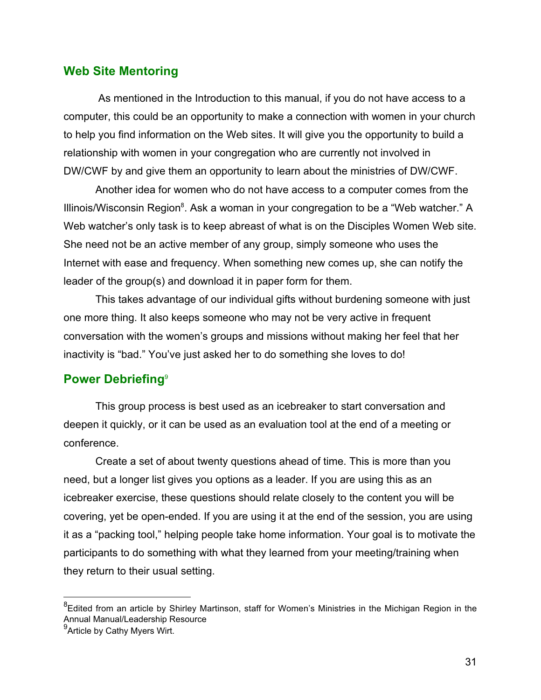### <span id="page-30-0"></span>**Web Site Mentoring**

 As mentioned in the Introduction to this manual, if you do not have access to a computer, this could be an opportunity to make a connection with women in your church to help you find information on the Web sites. It will give you the opportunity to build a relationship with women in your congregation who are currently not involved in DW/CWF by and give them an opportunity to learn about the ministries of DW/CWF.

Another idea for women who do not have access to a computer comes from the Illinois/Wisconsin Region<sup>8</sup>. Ask a woman in your congregation to be a "Web watcher." A Web watcher's only task is to keep abreast of what is on the Disciples Women Web site. She need not be an active member of any group, simply someone who uses the Internet with ease and frequency. When something new comes up, she can notify the leader of the group(s) and download it in paper form for them.

This takes advantage of our individual gifts without burdening someone with just one more thing. It also keeps someone who may not be very active in frequent conversation with the women's groups and missions without making her feel that her inactivity is "bad." You've just asked her to do something she loves to do!

#### **Power Debriefing**<sup>9</sup>

This group process is best used as an icebreaker to start conversation and deepen it quickly, or it can be used as an evaluation tool at the end of a meeting or conference.

Create a set of about twenty questions ahead of time. This is more than you need, but a longer list gives you options as a leader. If you are using this as an icebreaker exercise, these questions should relate closely to the content you will be covering, yet be open-ended. If you are using it at the end of the session, you are using it as a "packing tool," helping people take home information. Your goal is to motivate the participants to do something with what they learned from your meeting/training when they return to their usual setting.

 <sup>8</sup> Edited from an article by Shirley Martinson, staff for Women's Ministries in the Michigan Region in the Annual Manual/Leadership Resource

 $^9$ Article by Cathy Myers Wirt.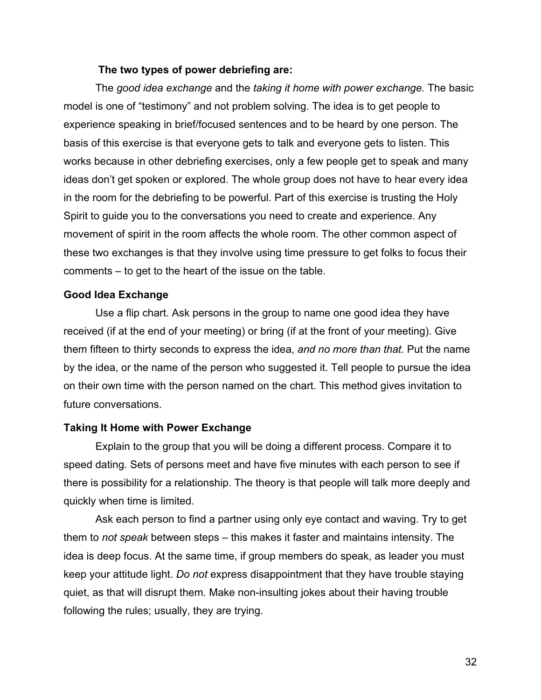#### **The two types of power debriefing are:**

The *good idea exchange* and the *taking it home with power exchange.* The basic model is one of "testimony" and not problem solving. The idea is to get people to experience speaking in brief/focused sentences and to be heard by one person. The basis of this exercise is that everyone gets to talk and everyone gets to listen. This works because in other debriefing exercises, only a few people get to speak and many ideas don't get spoken or explored. The whole group does not have to hear every idea in the room for the debriefing to be powerful. Part of this exercise is trusting the Holy Spirit to guide you to the conversations you need to create and experience. Any movement of spirit in the room affects the whole room. The other common aspect of these two exchanges is that they involve using time pressure to get folks to focus their comments – to get to the heart of the issue on the table.

#### **Good Idea Exchange**

Use a flip chart. Ask persons in the group to name one good idea they have received (if at the end of your meeting) or bring (if at the front of your meeting). Give them fifteen to thirty seconds to express the idea, *and no more than that.* Put the name by the idea, or the name of the person who suggested it. Tell people to pursue the idea on their own time with the person named on the chart. This method gives invitation to future conversations.

#### **Taking It Home with Power Exchange**

Explain to the group that you will be doing a different process. Compare it to speed dating. Sets of persons meet and have five minutes with each person to see if there is possibility for a relationship. The theory is that people will talk more deeply and quickly when time is limited.

Ask each person to find a partner using only eye contact and waving. Try to get them to *not speak* between steps – this makes it faster and maintains intensity. The idea is deep focus. At the same time, if group members do speak, as leader you must keep your attitude light. *Do not* express disappointment that they have trouble staying quiet, as that will disrupt them. Make non-insulting jokes about their having trouble following the rules; usually, they are trying.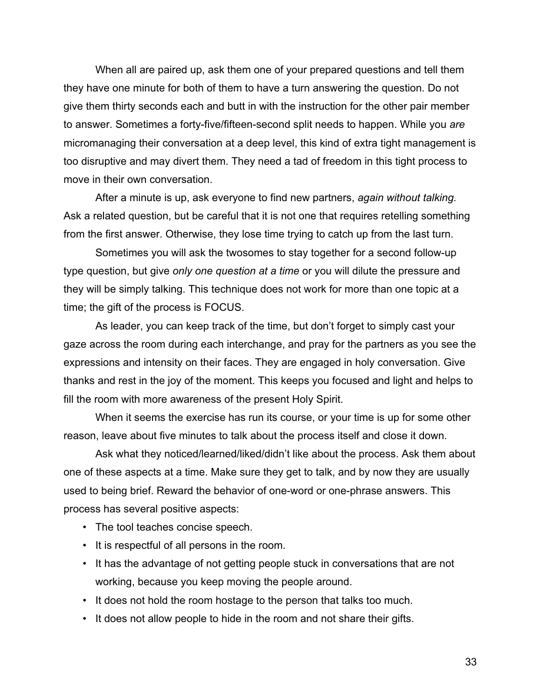When all are paired up, ask them one of your prepared questions and tell them they have one minute for both of them to have a turn answering the question. Do not give them thirty seconds each and butt in with the instruction for the other pair member to answer. Sometimes a forty-five/fifteen-second split needs to happen. While you *are* micromanaging their conversation at a deep level, this kind of extra tight management is too disruptive and may divert them. They need a tad of freedom in this tight process to move in their own conversation.

After a minute is up, ask everyone to find new partners, *again without talking.* Ask a related question, but be careful that it is not one that requires retelling something from the first answer. Otherwise, they lose time trying to catch up from the last turn.

Sometimes you will ask the twosomes to stay together for a second follow-up type question, but give *only one question at a time* or you will dilute the pressure and they will be simply talking. This technique does not work for more than one topic at a time; the gift of the process is FOCUS.

As leader, you can keep track of the time, but don't forget to simply cast your gaze across the room during each interchange, and pray for the partners as you see the expressions and intensity on their faces. They are engaged in holy conversation. Give thanks and rest in the joy of the moment. This keeps you focused and light and helps to fill the room with more awareness of the present Holy Spirit.

When it seems the exercise has run its course, or your time is up for some other reason, leave about five minutes to talk about the process itself and close it down.

Ask what they noticed/learned/liked/didn't like about the process. Ask them about one of these aspects at a time. Make sure they get to talk, and by now they are usually used to being brief. Reward the behavior of one-word or one-phrase answers. This process has several positive aspects:

- The tool teaches concise speech.
- It is respectful of all persons in the room.
- It has the advantage of not getting people stuck in conversations that are not working, because you keep moving the people around.
- It does not hold the room hostage to the person that talks too much.
- It does not allow people to hide in the room and not share their gifts.